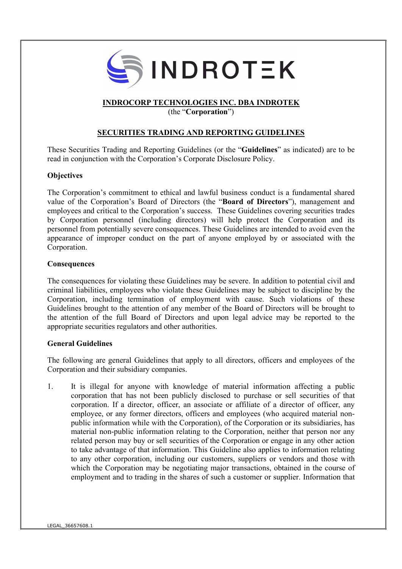

## INDROCORP TECHNOLOGIES INC. DBA INDROTEK

(the "Corporation")

## SECURITIES TRADING AND REPORTING GUIDELINES

These Securities Trading and Reporting Guidelines (or the "Guidelines" as indicated) are to be read in conjunction with the Corporation's Corporate Disclosure Policy.

## **Objectives**

The Corporation's commitment to ethical and lawful business conduct is a fundamental shared value of the Corporation's Board of Directors (the "Board of Directors"), management and employees and critical to the Corporation's success. These Guidelines covering securities trades by Corporation personnel (including directors) will help protect the Corporation and its personnel from potentially severe consequences. These Guidelines are intended to avoid even the appearance of improper conduct on the part of anyone employed by or associated with the Corporation.

### **Consequences**

The consequences for violating these Guidelines may be severe. In addition to potential civil and criminal liabilities, employees who violate these Guidelines may be subject to discipline by the Corporation, including termination of employment with cause. Such violations of these Guidelines brought to the attention of any member of the Board of Directors will be brought to the attention of the full Board of Directors and upon legal advice may be reported to the appropriate securities regulators and other authorities.

## General Guidelines

The following are general Guidelines that apply to all directors, officers and employees of the Corporation and their subsidiary companies.

1. It is illegal for anyone with knowledge of material information affecting a public corporation that has not been publicly disclosed to purchase or sell securities of that corporation. If a director, officer, an associate or affiliate of a director of officer, any employee, or any former directors, officers and employees (who acquired material nonpublic information while with the Corporation), of the Corporation or its subsidiaries, has material non-public information relating to the Corporation, neither that person nor any related person may buy or sell securities of the Corporation or engage in any other action to take advantage of that information. This Guideline also applies to information relating to any other corporation, including our customers, suppliers or vendors and those with which the Corporation may be negotiating major transactions, obtained in the course of employment and to trading in the shares of such a customer or supplier. Information that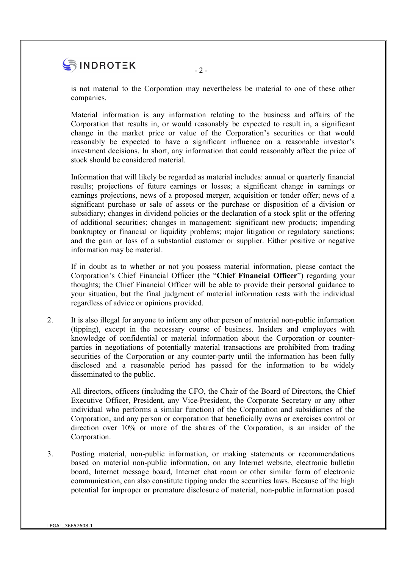# $\begin{array}{c}\n\bullet \\
\bullet \\
\bullet \\
\hline\n\end{array}$  INDROTEK

is not material to the Corporation may nevertheless be material to one of these other companies.

Material information is any information relating to the business and affairs of the Corporation that results in, or would reasonably be expected to result in, a significant change in the market price or value of the Corporation's securities or that would reasonably be expected to have a significant influence on a reasonable investor's investment decisions. In short, any information that could reasonably affect the price of stock should be considered material.

Information that will likely be regarded as material includes: annual or quarterly financial results; projections of future earnings or losses; a significant change in earnings or earnings projections, news of a proposed merger, acquisition or tender offer; news of a significant purchase or sale of assets or the purchase or disposition of a division or subsidiary; changes in dividend policies or the declaration of a stock split or the offering of additional securities; changes in management; significant new products; impending bankruptcy or financial or liquidity problems; major litigation or regulatory sanctions; and the gain or loss of a substantial customer or supplier. Either positive or negative information may be material.

If in doubt as to whether or not you possess material information, please contact the Corporation's Chief Financial Officer (the "Chief Financial Officer") regarding your thoughts; the Chief Financial Officer will be able to provide their personal guidance to your situation, but the final judgment of material information rests with the individual regardless of advice or opinions provided.

2. It is also illegal for anyone to inform any other person of material non-public information (tipping), except in the necessary course of business. Insiders and employees with knowledge of confidential or material information about the Corporation or counterparties in negotiations of potentially material transactions are prohibited from trading securities of the Corporation or any counter-party until the information has been fully disclosed and a reasonable period has passed for the information to be widely disseminated to the public.

All directors, officers (including the CFO, the Chair of the Board of Directors, the Chief Executive Officer, President, any Vice-President, the Corporate Secretary or any other individual who performs a similar function) of the Corporation and subsidiaries of the Corporation, and any person or corporation that beneficially owns or exercises control or direction over 10% or more of the shares of the Corporation, is an insider of the Corporation.

3. Posting material, non-public information, or making statements or recommendations based on material non-public information, on any Internet website, electronic bulletin board, Internet message board, Internet chat room or other similar form of electronic communication, can also constitute tipping under the securities laws. Because of the high potential for improper or premature disclosure of material, non-public information posed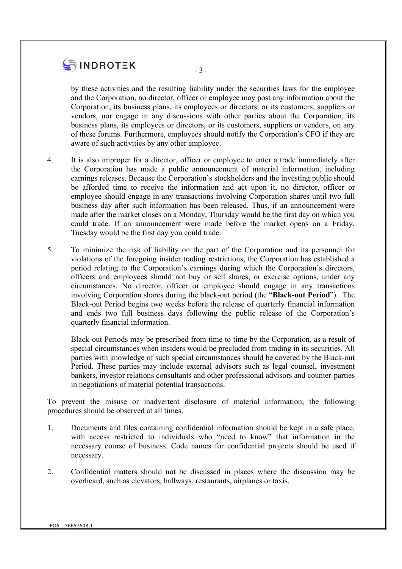# $\bullet$  INDROTEK  $-3-$

by these activities and the resulting liability under the securities laws for the employee and the Corporation, no director, officer or employee may post any information about the Corporation, its business plans, its employees or directors, or its customers, suppliers or vendors, nor engage in any discussions with other parties about the Corporation, its business plans, its employees or directors, or its customers, suppliers or vendors, on any of these forums. Furthermore, employees should notify the Corporation's CFO if they are aware of such activities by any other employee.

- 4. It is also improper for a director, officer or employee to enter a trade immediately after the Corporation has made a public announcement of material information, including earnings releases. Because the Corporation's stockholders and the investing public should be afforded time to receive the information and act upon it, no director, officer or employee should engage in any transactions involving Corporation shares until two full business day after such information has been released. Thus, if an announcement were made after the market closes on a Monday, Thursday would be the first day on which you could trade. If an announcement were made before the market opens on a Friday, Tuesday would be the first day you could trade.
- 5. To minimize the risk of liability on the part of the Corporation and its personnel for violations of the foregoing insider trading restrictions, the Corporation has established a period relating to the Corporation's earnings during which the Corporation's directors, officers and employees should not buy or sell shares, or exercise options, under any circumstances. No director, officer or employee should engage in any transactions involving Corporation shares during the black-out period (the "Black-out Period"). The Black-out Period begins two weeks before the release of quarterly financial information and ends two full business days following the public release of the Corporation's quarterly financial information.

Black-out Periods may be prescribed from time to time by the Corporation, as a result of special circumstances when insiders would be precluded from trading in its securities. All parties with knowledge of such special circumstances should be covered by the Black-out Period. These parties may include external advisors such as legal counsel, investment bankers, investor relations consultants and other professional advisors and counter-parties in negotiations of material potential transactions.

To prevent the misuse or inadvertent disclosure of material information, the following procedures should be observed at all times.

- 1. Documents and files containing confidential information should be kept in a safe place, with access restricted to individuals who "need to know" that information in the necessary course of business. Code names for confidential projects should be used if necessary.
- 2. Confidential matters should not be discussed in places where the discussion may be overheard, such as elevators, hallways, restaurants, airplanes or taxis.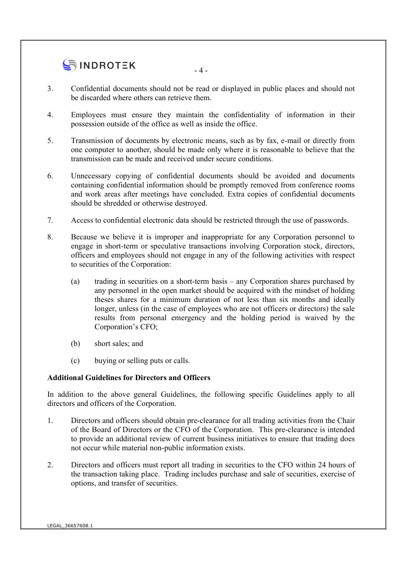# $\bullet$  INDROTEK  $-4$

- 3. Confidential documents should not be read or displayed in public places and should not be discarded where others can retrieve them.
- 4. Employees must ensure they maintain the confidentiality of information in their possession outside of the office as well as inside the office.
- 5. Transmission of documents by electronic means, such as by fax, e-mail or directly from one computer to another, should be made only where it is reasonable to believe that the transmission can be made and received under secure conditions.
- 6. Unnecessary copying of confidential documents should be avoided and documents containing confidential information should be promptly removed from conference rooms and work areas after meetings have concluded. Extra copies of confidential documents should be shredded or otherwise destroyed.
- 7. Access to confidential electronic data should be restricted through the use of passwords.
- 8. Because we believe it is improper and inappropriate for any Corporation personnel to engage in short-term or speculative transactions involving Corporation stock, directors, officers and employees should not engage in any of the following activities with respect to securities of the Corporation:
	- (a) trading in securities on a short-term basis any Corporation shares purchased by any personnel in the open market should be acquired with the mindset of holding theses shares for a minimum duration of not less than six months and ideally longer, unless (in the case of employees who are not officers or directors) the sale results from personal emergency and the holding period is waived by the Corporation's CFO;
	- (b) short sales; and
	- (c) buying or selling puts or calls.

## Additional Guidelines for Directors and Officers

In addition to the above general Guidelines, the following specific Guidelines apply to all directors and officers of the Corporation.

- 1. Directors and officers should obtain pre-clearance for all trading activities from the Chair of the Board of Directors or the CFO of the Corporation. This pre-clearance is intended to provide an additional review of current business initiatives to ensure that trading does not occur while material non-public information exists.
- 2. Directors and officers must report all trading in securities to the CFO within 24 hours of the transaction taking place. Trading includes purchase and sale of securities, exercise of options, and transfer of securities.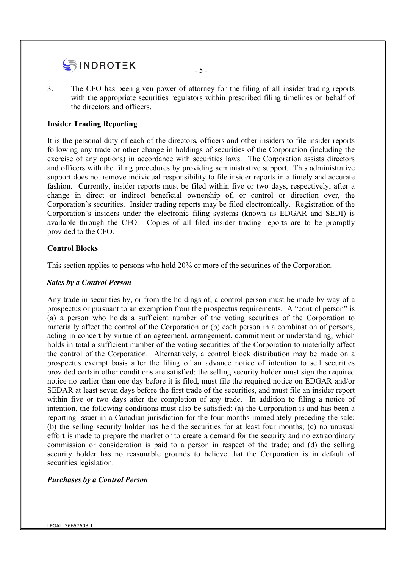

3. The CFO has been given power of attorney for the filing of all insider trading reports with the appropriate securities regulators within prescribed filing timelines on behalf of the directors and officers.

### Insider Trading Reporting

It is the personal duty of each of the directors, officers and other insiders to file insider reports following any trade or other change in holdings of securities of the Corporation (including the exercise of any options) in accordance with securities laws. The Corporation assists directors and officers with the filing procedures by providing administrative support. This administrative support does not remove individual responsibility to file insider reports in a timely and accurate fashion. Currently, insider reports must be filed within five or two days, respectively, after a change in direct or indirect beneficial ownership of, or control or direction over, the Corporation's securities. Insider trading reports may be filed electronically. Registration of the Corporation's insiders under the electronic filing systems (known as EDGAR and SEDI) is available through the CFO. Copies of all filed insider trading reports are to be promptly provided to the CFO.

### Control Blocks

This section applies to persons who hold 20% or more of the securities of the Corporation.

#### Sales by a Control Person

Any trade in securities by, or from the holdings of, a control person must be made by way of a prospectus or pursuant to an exemption from the prospectus requirements. A "control person" is (a) a person who holds a sufficient number of the voting securities of the Corporation to materially affect the control of the Corporation or (b) each person in a combination of persons, acting in concert by virtue of an agreement, arrangement, commitment or understanding, which holds in total a sufficient number of the voting securities of the Corporation to materially affect the control of the Corporation. Alternatively, a control block distribution may be made on a prospectus exempt basis after the filing of an advance notice of intention to sell securities provided certain other conditions are satisfied: the selling security holder must sign the required notice no earlier than one day before it is filed, must file the required notice on EDGAR and/or SEDAR at least seven days before the first trade of the securities, and must file an insider report within five or two days after the completion of any trade. In addition to filing a notice of intention, the following conditions must also be satisfied: (a) the Corporation is and has been a reporting issuer in a Canadian jurisdiction for the four months immediately preceding the sale; (b) the selling security holder has held the securities for at least four months; (c) no unusual effort is made to prepare the market or to create a demand for the security and no extraordinary commission or consideration is paid to a person in respect of the trade; and (d) the selling security holder has no reasonable grounds to believe that the Corporation is in default of securities legislation.

## Purchases by a Control Person